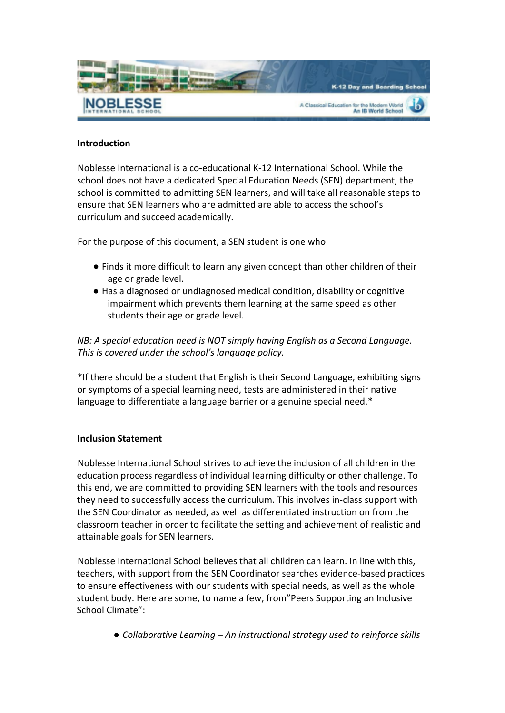

# **Introduction**

Noblesse International is a co-educational K-12 International School. While the school does not have a dedicated Special Education Needs (SEN) department, the school is committed to admitting SEN learners, and will take all reasonable steps to ensure that SEN learners who are admitted are able to access the school's curriculum and succeed academically.

For the purpose of this document, a SEN student is one who

- Finds it more difficult to learn any given concept than other children of their age or grade level.
- Has a diagnosed or undiagnosed medical condition, disability or cognitive impairment which prevents them learning at the same speed as other students their age or grade level.

*NB: A special education need is NOT simply having English as a Second Language.* This is covered under the school's language policy.

\*If there should be a student that English is their Second Language, exhibiting signs or symptoms of a special learning need, tests are administered in their native language to differentiate a language barrier or a genuine special need.\*

### **Inclusion Statement**

Noblesse International School strives to achieve the inclusion of all children in the education process regardless of individual learning difficulty or other challenge. To this end, we are committed to providing SEN learners with the tools and resources they need to successfully access the curriculum. This involves in-class support with the SEN Coordinator as needed, as well as differentiated instruction on from the classroom teacher in order to facilitate the setting and achievement of realistic and attainable goals for SEN learners.

Noblesse International School believes that all children can learn. In line with this, teachers, with support from the SEN Coordinator searches evidence-based practices to ensure effectiveness with our students with special needs, as well as the whole student body. Here are some, to name a few, from"Peers Supporting an Inclusive School Climate":

● *Collaborative Learning* − *An instructional strategy used to reinforce skills*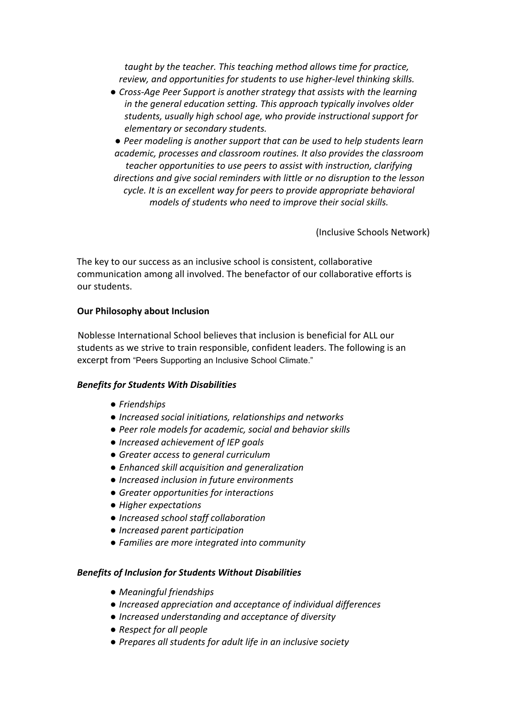*taught by the teacher. This teaching method allows time for practice,* review, and opportunities for students to use higher-level thinking skills.

- *Cross-Age Peer Support is another strategy that assists with the learning in* the general education setting. This approach typically involves older students, usually high school age, who provide instructional support for *elementary or secondary students.*
- Peer modeling is another support that can be used to help students learn academic, processes and classroom routines. It also provides the classroom *teacher opportunities to use peers to assist with instruction, clarifying* directions and give social reminders with little or no disruption to the lesson *cycle.* It is an excellent way for peers to provide appropriate behavioral *models of students who need to improve their social skills.*

(Inclusive Schools Network)

The key to our success as an inclusive school is consistent, collaborative communication among all involved. The benefactor of our collaborative efforts is our students.

## **Our Philosophy about Inclusion**

Noblesse International School believes that inclusion is beneficial for ALL our students as we strive to train responsible, confident leaders. The following is an excerpt from "Peers Supporting an Inclusive School Climate."

### **Benefits for Students With Disabilities**

- *● Friendships*
- *● Increased social initiations, relationships and networks*
- Peer role models for academic, social and behavior skills
- *● Increased achievement of IEP goals*
- *Greater access to general curriculum*
- *● Enhanced skill acquisition and generalization*
- *● Increased inclusion in future environments*
- Greater opportunities for interactions
- *Higher expectations*
- *● Increased school staff collaboration*
- *● Increased parent participation*
- Families are more integrated into community

### **Benefits of Inclusion for Students Without Disabilities**

- *Meaningful* friendships
- *● Increased appreciation and acceptance of individual differences*
- *● Increased understanding and acceptance of diversity*
- *Respect* for all people
- *Prepares all students for adult life in an inclusive society*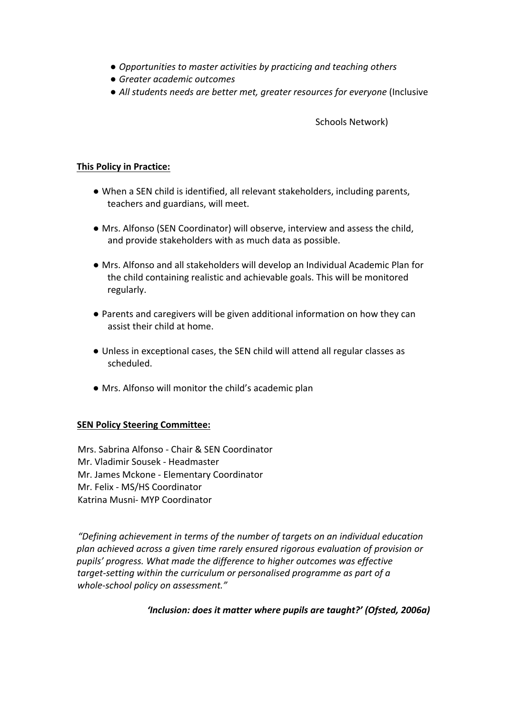- *Opportunities to master activities by practicing and teaching others*
- *● Greater academic outcomes*
- *All students needs are better met, greater resources for everyone* (Inclusive

Schools Network)

### **This Policy in Practice:**

- When a SEN child is identified, all relevant stakeholders, including parents, teachers and guardians, will meet.
- Mrs. Alfonso (SEN Coordinator) will observe, interview and assess the child, and provide stakeholders with as much data as possible.
- Mrs. Alfonso and all stakeholders will develop an Individual Academic Plan for the child containing realistic and achievable goals. This will be monitored regularly.
- Parents and caregivers will be given additional information on how they can assist their child at home.
- Unless in exceptional cases, the SEN child will attend all regular classes as scheduled.
- Mrs. Alfonso will monitor the child's academic plan

### **SEN Policy Steering Committee:**

Mrs. Sabrina Alfonso - Chair & SEN Coordinator Mr. Vladimir Sousek - Headmaster Mr. James Mckone - Elementary Coordinator Mr. Felix - MS/HS Coordinator Katrina Musni- MYP Coordinator

"Defining achievement in terms of the number of targets on an individual education *plan achieved across a given time rarely ensured rigorous evaluation of provision or pupils' progress. What made the difference to higher outcomes was effective target-setting* within the curriculum or personalised programme as part of a whole-school policy on assessment."

#### 'Inclusion: does it matter where pupils are taught?' (Ofsted, 2006a)